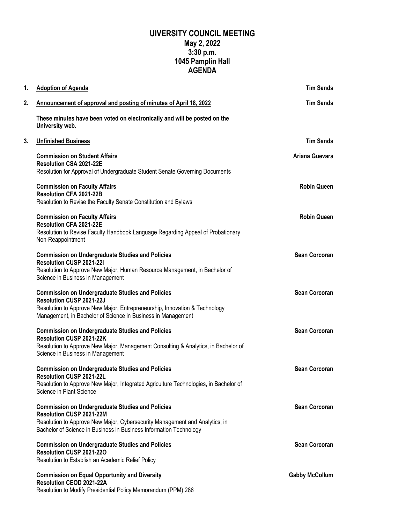## **UIVERSITY COUNCIL MEETING May 2, 2022 3:30 p.m. 1045 Pamplin Hall AGENDA**

| 1. | <b>Adoption of Agenda</b>                                                                                                                                                                                                                | <b>Tim Sands</b>      |
|----|------------------------------------------------------------------------------------------------------------------------------------------------------------------------------------------------------------------------------------------|-----------------------|
| 2. | Announcement of approval and posting of minutes of April 18, 2022                                                                                                                                                                        | <b>Tim Sands</b>      |
|    | These minutes have been voted on electronically and will be posted on the<br>University web.                                                                                                                                             |                       |
| 3. | <b>Unfinished Business</b>                                                                                                                                                                                                               | <b>Tim Sands</b>      |
|    | <b>Commission on Student Affairs</b><br>Resolution CSA 2021-22E<br>Resolution for Approval of Undergraduate Student Senate Governing Documents                                                                                           | Ariana Guevara        |
|    | <b>Commission on Faculty Affairs</b><br>Resolution CFA 2021-22B<br>Resolution to Revise the Faculty Senate Constitution and Bylaws                                                                                                       | <b>Robin Queen</b>    |
|    | <b>Commission on Faculty Affairs</b><br>Resolution CFA 2021-22E<br>Resolution to Revise Faculty Handbook Language Regarding Appeal of Probationary<br>Non-Reappointment                                                                  | <b>Robin Queen</b>    |
|    | <b>Commission on Undergraduate Studies and Policies</b><br>Resolution CUSP 2021-221<br>Resolution to Approve New Major, Human Resource Management, in Bachelor of<br>Science in Business in Management                                   | <b>Sean Corcoran</b>  |
|    | <b>Commission on Undergraduate Studies and Policies</b><br><b>Resolution CUSP 2021-22J</b><br>Resolution to Approve New Major, Entrepreneurship, Innovation & Technology<br>Management, in Bachelor of Science in Business in Management | <b>Sean Corcoran</b>  |
|    | <b>Commission on Undergraduate Studies and Policies</b><br><b>Resolution CUSP 2021-22K</b><br>Resolution to Approve New Major, Management Consulting & Analytics, in Bachelor of<br>Science in Business in Management                    | <b>Sean Corcoran</b>  |
|    | <b>Commission on Undergraduate Studies and Policies</b><br>Resolution CUSP 2021-22L<br>Resolution to Approve New Major, Integrated Agriculture Technologies, in Bachelor of<br>Science in Plant Science                                  | <b>Sean Corcoran</b>  |
|    | <b>Commission on Undergraduate Studies and Policies</b><br>Resolution CUSP 2021-22M<br>Resolution to Approve New Major, Cybersecurity Management and Analytics, in<br>Bachelor of Science in Business in Business Information Technology | <b>Sean Corcoran</b>  |
|    | <b>Commission on Undergraduate Studies and Policies</b><br>Resolution CUSP 2021-22O<br>Resolution to Establish an Academic Relief Policy                                                                                                 | <b>Sean Corcoran</b>  |
|    | <b>Commission on Equal Opportunity and Diversity</b><br>Resolution CEOD 2021-22A<br>Resolution to Modify Presidential Policy Memorandum (PPM) 286                                                                                        | <b>Gabby McCollum</b> |